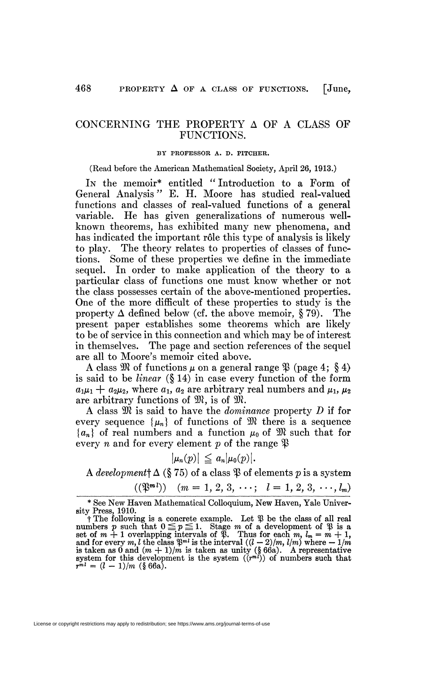# CONCERNING THE PROPERTY A OF A CLASS OF FUNCTIONS.

#### BY PROFESSOR A. D. PITCHER.

#### (Read before the American Mathematical Society, April 26, 1913.)

IN the memoir\* entitled " Introduction to a Form of General Analysis " E. H. Moore has studied real-valued functions and classes of real-valued functions of a general variable. He has given generalizations of numerous wellknown theorems, has exhibited many new phenomena, and has indicated the important rôle this type of analysis is likely to play. The theory relates to properties of classes of functions. Some of these properties we define in the immediate sequel. In order to make application of the theory to a particular class of functions one must know whether or not the class possesses certain of the above-mentioned properties. One of the more difficult of these properties to study is the property  $\Delta$  defined below (cf. the above memoir, § 79). The present paper establishes some theorems which are likely to be of service in this connection and which may be of interest in themselves. The page and section references of the sequel are all to Moore's memoir cited above.

A class  $\mathfrak{M}$  of functions  $\mu$  on a general range  $\mathfrak{P}$  (page 4; § 4) is said to be *linear* (§ 14) in case every function of the form  $a_1\mu_1 + a_2\mu_2$ , where  $a_1, a_2$  are arbitrary real numbers and  $\mu_1, \mu_2$ are arbitrary functions of  $\mathfrak{M}$ , is of  $\mathfrak{M}$ .

A class 3JI is said to have the *dominance* property *D* if for every sequence  $\{\mu_n\}$  of functions of  $\mathfrak{M}$  there is a sequence  ${a_n}$  of real numbers and a function  $\mu_0$  of  $\mathfrak{M}$  such that for every *n* and for every element *p* of the range  $\mathfrak{P}$ 

$$
|\mu_n(p)| \leq a_n |\mu_0(p)|.
$$

*A development*<sup> $\dagger$ </sup>  $\Delta$  (§ 75) of a class  $\mathfrak{P}$  of elements *p* is a system

$$
((\mathfrak{P}^{\mathfrak{m}}^{l})) \quad (m = 1, 2, 3, \cdots; \quad l = 1, 2, 3, \cdots, l_{m})
$$

<sup>\*</sup> See New Haven Mathematical Colloquium, New Haven, Yale University Press, 1910.

t The following is a concrete example. Let *ty* be the class of all real numbers p such that  $0 \leq p \leq 1$ . Stage m of a development of  $\mathcal{X}$  is a set of  $m + 1$  overlapping intervals of  $\mathcal{X}$ . Thus for each  $m, l_m = m + 1$ , and for every  $m, l$  the class  $\mathcal{X}^{m}$  is the interval  $((l - 2)/m, l/m$  $r^{ml} = (l - 1)/m$  (§ 66a).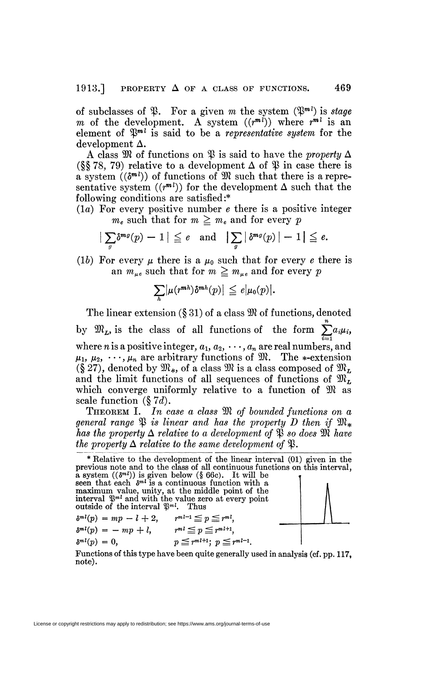of subclasses of  $\mathfrak{P}$ . For a given m the system  $(\mathfrak{P}^m)$  is *stage m* of the development. A system  $((r^{m*l*}))$  where  $r^{m*l*}$  is an element of  $\mathfrak{P}^{m}$  is said to be a *representative system* for the  $\rm{develoment}$   $\rm{\Delta}.$ 

A class  $\mathfrak M$  of functions on  $\mathfrak P$  is said to have the *property*  $\Delta$ (§§78, 79) relative to a development  $\Delta$  of  $\mathcal{D}$  in case there is a system  $((\delta^{m l}))$  of functions of  $\mathfrak{M}$  such that there is a representative system  $((r^{m})$  for the development  $\Delta$  such that the following conditions are satisfied:\*

(la) For every positive number *e* there is a positive integer  $m_e$  such that for  $m \geq m_e$  and for every *p* 

$$
\big|\sum_{g} \delta^{mg}(p) - 1\big| \leq e \quad \text{and} \quad \big|\sum_{g} \big|\delta^{mg}(p)\big| - 1\big| \leq e.
$$

(1b) For every  $\mu$  there is a  $\mu_0$  such that for every *e* there is an  $m_{ue}$  such that for  $m \geq m_{ue}$  and for every p

$$
\sum_{h} \bigl| \mu(r^{mh}) \delta^{mh}(p) \bigr| \leq e \bigl| \mu_0(p) \bigr|.
$$

The linear extension  $(\S 31)$  of a class  $\mathfrak{M}$  of functions, denoted *n*   $\sum_{i=1}^{\infty} \binom{n}{i}$ where *n* is a positive integer,  $a_1, a_2, \cdots, a_n$  are real numbers, and  $\mu_1, \mu_2, \cdots, \mu_n$  are arbitrary functions of  $\mathfrak{M}$ . The \*-extension  $(\S 27)$ , denoted by  $\mathfrak{M}_*$ , of a class  $\mathfrak{M}$  is a class composed of  $\mathfrak{M}_L$ . and the limit functions of all sequences of functions of  $\mathfrak{M}_L$ which converge uniformly relative to a function of  $\mathfrak{M}$  as scale function  $(\S 7d)$ .

**THEOREM I.** In case a class  $\mathfrak{M}$  of bounded functions on a general range  $\mathfrak P$  is linear and has the property D then if  $\mathfrak M_*$ has the property  $\Delta$  relative to a development of  $\mathfrak P$  so does  $\mathfrak M$  have *has property*  $\Delta$  *relative to the same development of*  $\mathcal{R}$ *.* 



Functions of this type have been quite generally used in analysis (cf. pp. 117, note).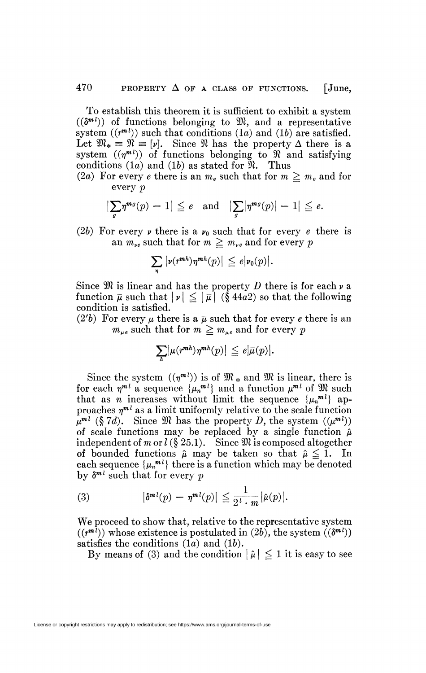To establish this theorem it is sufficient to exhibit a system  $((\delta^{m l}))$  of functions belonging to  $\mathfrak{M}$ , and a representative system  $((r^{m})$  such that conditions  $(1a)$  and  $(1b)$  are satisfied. Let  $\mathfrak{M}_* \equiv \mathfrak{N} \equiv [\nu]$ . Since  $\mathfrak{N}$  has the property  $\Delta$  there is a system  $((\eta^{m_l})^{\circ})$  of functions belonging to  $\mathcal{R}$  and satisfying conditions (1*a*) and (1*b*) as stated for  $\mathfrak{N}$ . Thus

(2a) For every *e* there is an  $m_e$  such that for  $m \geq m_e$  and for every *p* 

$$
\left|\sum_{g} \eta^{mg}(p) - 1\right| \leqq e \quad \text{and} \quad \left|\sum_{g} \left|\eta^{mg}(p)\right| - 1\right| \leqq e.
$$

(2b) For every  $\nu$  there is a  $\nu_0$  such that for every *e* there is an  $m_{\nu e}$  such that for  $m \geq m_{\nu e}$  and for every p

$$
\sum_{\eta} |\nu(r^{mh})\eta^{mh}(p)| \leq e|\nu_0(p)|.
$$

Since  $\mathfrak{M}$  is linear and has the property  $D$  there is for each  $\nu$  a function  $\bar{\mu}$  such that  $|\nu| \leq |\bar{\mu}|$  (§ 44a2) so that the following condition is satisfied.

(2'b) For every  $\mu$  there is a  $\overline{\mu}$  such that for every *e* there is an  $m_{\mu e}$  such that for  $m \ge m_{\mu e}$  and for every *p* 

$$
\sum_{h} \bigl| \mu(r^{mh}) \eta^{mh}(p) \bigr| \leq e \bigl| \bar{\mu}(p) \bigr|.
$$

Since the system  $((\eta^{m_l}))$  is of  $\mathfrak{M}$  \* and  $\mathfrak{M}$  is linear, there is for each  $\eta^{m}$  a sequence  $\{\mu_n^{m} \}$  and a function  $\mu^{m}$  of  $\mathfrak{M}$  such that as *n* increases without limit the sequence  $\{\mu_n^{m_l}\}\$  approaches  $\eta^{m}$  as a limit uniformly relative to the scale function  $\mu^{m}$  (§ 7*d*). Since M has the property *D*, the system  $((\mu^{m}$ )) of scale functions may be replaced by a single function  $\hat{\mu}$ independent of m or  $l$  (§ 25.1). Since  $\mathfrak M$  is composed altogether of bounded functions  $\hat{\mu}$  may be taken so that  $\hat{\mu} \leq 1$ . In each sequence  $\{\mu_n^{m_l}\}\)$  there is a function which may be denoted by  $\delta^{m}$  such that for every p

(3) 
$$
|\delta^{m}{}(p) - \eta^{m}{}(p)| \leq \frac{1}{2^l \cdot m} |\hat{\mu}(p)|.
$$

We proceed to show that, relative to the representative system  $((r^{m})$  whose existence is postulated in (2b), the system  $((\delta^{m l}))$ satisfies the conditions  $(1a)$  and  $(1b)$ .

By means of (3) and the condition  $|\hat{\mu}| \leq 1$  it is easy to see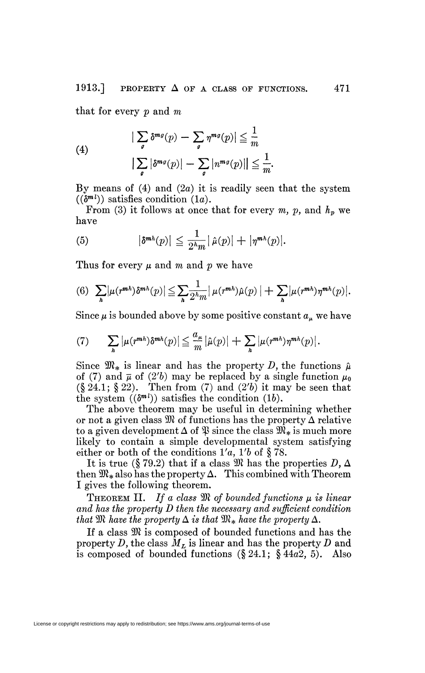that for every *p* and *m* 

(4)  

$$
|\sum_{g} \delta^{mg}(p) - \sum_{g} \eta^{mg}(p)| \leq \frac{1}{m}
$$

$$
|\sum_{g} |\delta^{mg}(p)| - \sum_{g} |n^{mg}(p)|| \leq \frac{1}{m}.
$$

By means of  $(4)$  and  $(2a)$  it is readily seen that the system  $((\delta^{m l}))$  satisfies condition  $(1a)$ .

From (3) it follows at once that for every  $m$ ,  $p$ , and  $h_p$  we have

(5) 
$$
|\delta^{mh}(p)| \leq \frac{1}{2^h m} |\hat{\mu}(p)| + |\eta^{mh}(p)|.
$$

Thus for every  $\mu$  and m and p we have

(6) 
$$
\sum_{h} |\mu(r^{mh}) \delta^{mh}(p)| \leq \sum_{h} \frac{1}{2^h m} |\mu(r^{mh}) \hat{\mu}(p)| + \sum_{h} |\mu(r^{mh}) \eta^{mh}(p)|.
$$

Since  $\mu$  is bounded above by some positive constant  $a_{\mu}$  we have

(7) 
$$
\sum_{h} |\mu(r^{mh})\delta^{mh}(p)| \leq \frac{a_{\mu}}{m} |\hat{\mu}(p)| + \sum_{h} |\mu(r^{mh})\eta^{mh}(p)|.
$$

Since  $\mathfrak{M}_*$  is linear and has the property *D*, the functions  $\hat{\mu}$ of (7) and  $\overline{\mu}$  of (2'b) may be replaced by a single function  $\mu_0$  $(\S 24.1; \S 22)$ . Then from (7) and (2'b) it may be seen that the system  $((\delta^{m_l})^n)$  satisfies the condition  $(1b)$ .

The above theorem may be useful in determining whether or not a given class  $\mathfrak{M}$  of functions has the property  $\Delta$  relative to a given development  $\Delta$  of  $\mathfrak P$  since the class  $\mathfrak M_*$  is much more likely to contain a simple developmental system satisfying either or both of the conditions l'a, *Vb* of § 78.

It is true (§ 79.2) that if a class  $\mathfrak{M}$  has the properties  $D, \Delta$ then  $\mathfrak{M}_*$  also has the property  $\Delta$ . This combined with Theorem I gives the following theorem.

THEOREM II. If a class  $\mathfrak{M}$  of bounded functions  $\mu$  is linear *and has the property D then the necessary and sufficient condition that*  $\mathfrak{M}$  *have the property*  $\Delta$  *is that*  $\mathfrak{M}_*$  *have the property*  $\Delta$ *.* 

If a class  $\mathfrak{M}$  is composed of bounded functions and has the property *D,* the class *ML* is linear and has the property *D* and is composed of bounded functions  $(\S 24.1; \S 44a2, 5)$ . Also